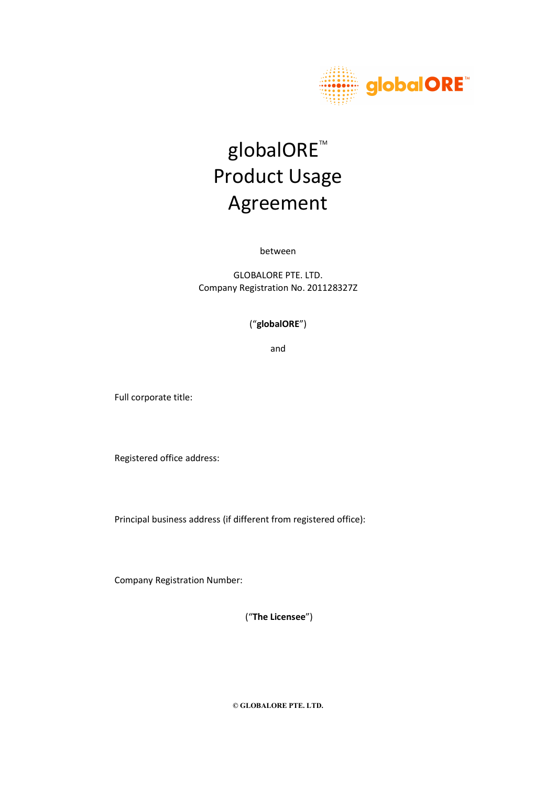

# globalORE<sup>™</sup> Product Usage Agreement

between

GLOBALORE PTE. LTD. Company Registration No. 201128327Z

#### ("globalORE")

and

Full corporate title:

Registered office address:

Principal business address (if different from registered office):

Company Registration Number:

("The Licensee")

© GLOBALORE PTE. LTD.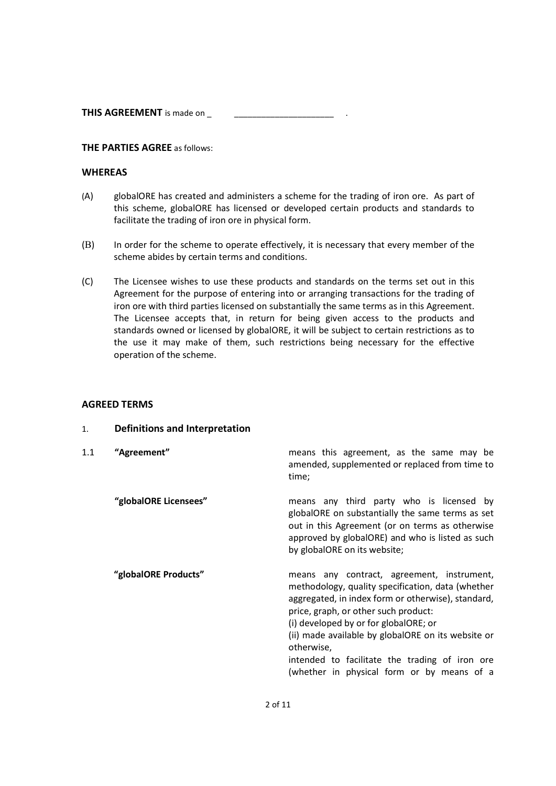THIS AGREEMENT is made on \_

#### THE PARTIES AGREE as follows:

#### **WHEREAS**

- (A) globalORE has created and administers a scheme for the trading of iron ore. As part of this scheme, globalORE has licensed or developed certain products and standards to facilitate the trading of iron ore in physical form.
- (B) In order for the scheme to operate effectively, it is necessary that every member of the scheme abides by certain terms and conditions.
- (C) The Licensee wishes to use these products and standards on the terms set out in this Agreement for the purpose of entering into or arranging transactions for the trading of iron ore with third parties licensed on substantially the same terms as in this Agreement. The Licensee accepts that, in return for being given access to the products and standards owned or licensed by globalORE, it will be subject to certain restrictions as to the use it may make of them, such restrictions being necessary for the effective operation of the scheme.

#### AGREED TERMS

| 1.  | Definitions and Interpretation |                                                                                                                                                                                                                                                                                                                                                                                                            |
|-----|--------------------------------|------------------------------------------------------------------------------------------------------------------------------------------------------------------------------------------------------------------------------------------------------------------------------------------------------------------------------------------------------------------------------------------------------------|
| 1.1 | "Agreement"                    | means this agreement, as the same may be<br>amended, supplemented or replaced from time to<br>time;                                                                                                                                                                                                                                                                                                        |
|     | "globalORE Licensees"          | means any third party who is licensed by<br>globalORE on substantially the same terms as set<br>out in this Agreement (or on terms as otherwise<br>approved by globalORE) and who is listed as such<br>by globalORE on its website;                                                                                                                                                                        |
|     | "globalORE Products"           | means any contract, agreement, instrument,<br>methodology, quality specification, data (whether<br>aggregated, in index form or otherwise), standard,<br>price, graph, or other such product:<br>(i) developed by or for globalORE; or<br>(ii) made available by globalORE on its website or<br>otherwise,<br>intended to facilitate the trading of iron ore<br>(whether in physical form or by means of a |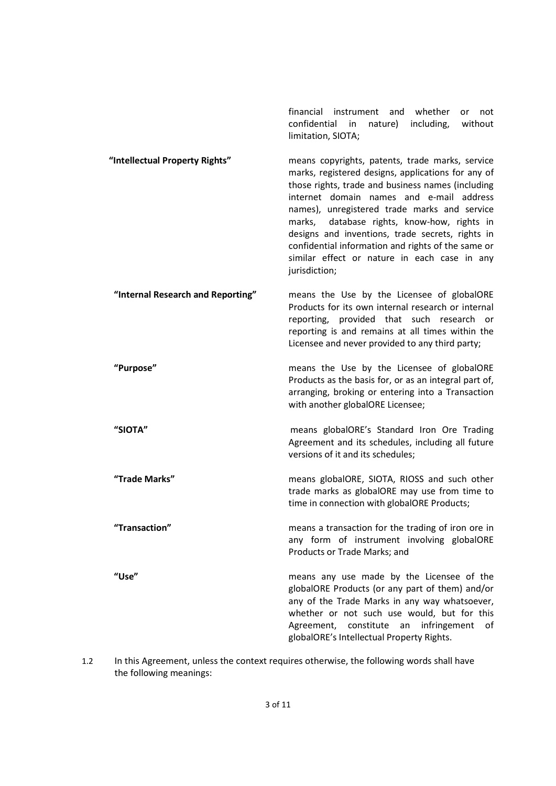financial instrument and whether or not confidential in nature) including, without limitation, SIOTA;

- "Intellectual Property Rights" means copyrights, patents, trade marks, service marks, registered designs, applications for any of those rights, trade and business names (including internet domain names and e-mail address names), unregistered trade marks and service marks, database rights, know-how, rights in designs and inventions, trade secrets, rights in confidential information and rights of the same or similar effect or nature in each case in any jurisdiction;
- "Internal Research and Reporting" means the Use by the Licensee of globalORE Products for its own internal research or internal reporting, provided that such research or reporting is and remains at all times within the Licensee and never provided to any third party;
	- "Purpose" means the Use by the Licensee of globalORE Products as the basis for, or as an integral part of, arranging, broking or entering into a Transaction with another globalORE Licensee;
	- "SIOTA" means globalORE's Standard Iron Ore Trading Agreement and its schedules, including all future versions of it and its schedules;
	- "Trade Marks" means globalORE, SIOTA, RIOSS and such other trade marks as globalORE may use from time to time in connection with globalORE Products;
	- "Transaction" means a transaction for the trading of iron ore in any form of instrument involving globalORE Products or Trade Marks; and
	- "Use" means any use made by the Licensee of the globalORE Products (or any part of them) and/or any of the Trade Marks in any way whatsoever, whether or not such use would, but for this Agreement, constitute an infringement of globalORE's Intellectual Property Rights.
- 1.2 In this Agreement, unless the context requires otherwise, the following words shall have the following meanings: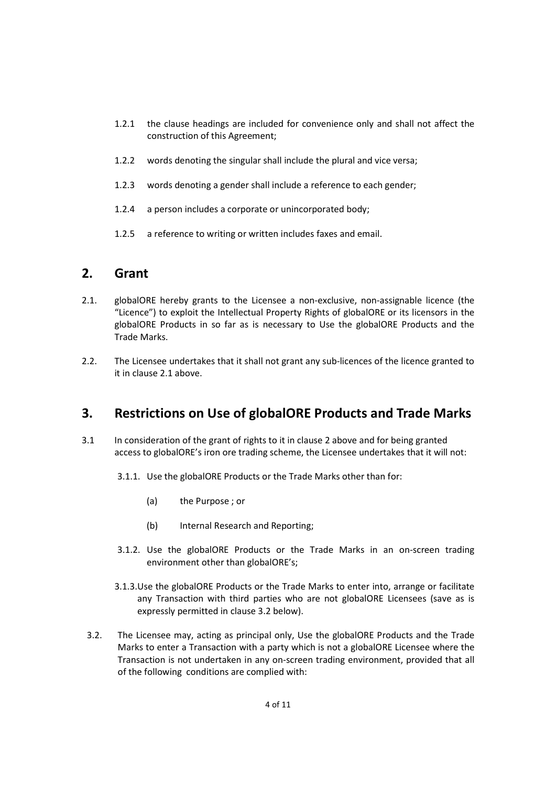- 1.2.1 the clause headings are included for convenience only and shall not affect the construction of this Agreement;
- 1.2.2 words denoting the singular shall include the plural and vice versa;
- 1.2.3 words denoting a gender shall include a reference to each gender;
- 1.2.4 a person includes a corporate or unincorporated body;
- 1.2.5 a reference to writing or written includes faxes and email.

#### 2. Grant

- 2.1. globalORE hereby grants to the Licensee a non-exclusive, non-assignable licence (the "Licence") to exploit the Intellectual Property Rights of globalORE or its licensors in the globalORE Products in so far as is necessary to Use the globalORE Products and the Trade Marks.
- 2.2. The Licensee undertakes that it shall not grant any sub-licences of the licence granted to it in clause 2.1 above.

# 3. Restrictions on Use of globalORE Products and Trade Marks

- 3.1 In consideration of the grant of rights to it in clause 2 above and for being granted access to globalORE's iron ore trading scheme, the Licensee undertakes that it will not:
	- 3.1.1. Use the globalORE Products or the Trade Marks other than for:
		- (a) the Purpose ; or
		- (b) Internal Research and Reporting;
	- 3.1.2. Use the globalORE Products or the Trade Marks in an on-screen trading environment other than globalORE's;
	- 3.1.3.Use the globalORE Products or the Trade Marks to enter into, arrange or facilitate any Transaction with third parties who are not globalORE Licensees (save as is expressly permitted in clause 3.2 below).
	- 3.2. The Licensee may, acting as principal only, Use the globalORE Products and the Trade Marks to enter a Transaction with a party which is not a globalORE Licensee where the Transaction is not undertaken in any on-screen trading environment, provided that all of the following conditions are complied with: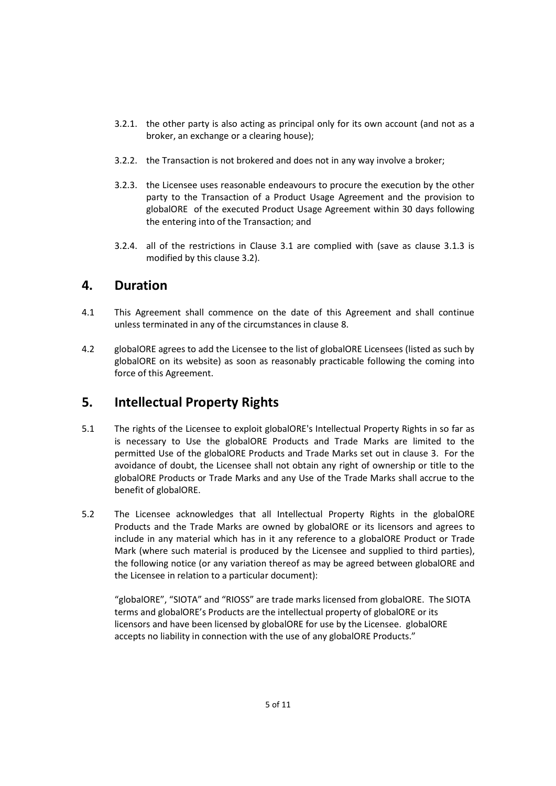- 3.2.1. the other party is also acting as principal only for its own account (and not as a broker, an exchange or a clearing house);
- 3.2.2. the Transaction is not brokered and does not in any way involve a broker;
- 3.2.3. the Licensee uses reasonable endeavours to procure the execution by the other party to the Transaction of a Product Usage Agreement and the provision to globalORE of the executed Product Usage Agreement within 30 days following the entering into of the Transaction; and
- 3.2.4. all of the restrictions in Clause 3.1 are complied with (save as clause 3.1.3 is modified by this clause 3.2).

## 4. Duration

- 4.1 This Agreement shall commence on the date of this Agreement and shall continue unless terminated in any of the circumstances in clause 8.
- 4.2 globalORE agrees to add the Licensee to the list of globalORE Licensees (listed as such by globalORE on its website) as soon as reasonably practicable following the coming into force of this Agreement.

# 5. Intellectual Property Rights

- 5.1 The rights of the Licensee to exploit globalORE's Intellectual Property Rights in so far as is necessary to Use the globalORE Products and Trade Marks are limited to the permitted Use of the globalORE Products and Trade Marks set out in clause 3. For the avoidance of doubt, the Licensee shall not obtain any right of ownership or title to the globalORE Products or Trade Marks and any Use of the Trade Marks shall accrue to the benefit of globalORE.
- 5.2 The Licensee acknowledges that all Intellectual Property Rights in the globalORE Products and the Trade Marks are owned by globalORE or its licensors and agrees to include in any material which has in it any reference to a globalORE Product or Trade Mark (where such material is produced by the Licensee and supplied to third parties), the following notice (or any variation thereof as may be agreed between globalORE and the Licensee in relation to a particular document):

"globalORE", "SIOTA" and "RIOSS" are trade marks licensed from globalORE. The SIOTA terms and globalORE's Products are the intellectual property of globalORE or its licensors and have been licensed by globalORE for use by the Licensee. globalORE accepts no liability in connection with the use of any globalORE Products."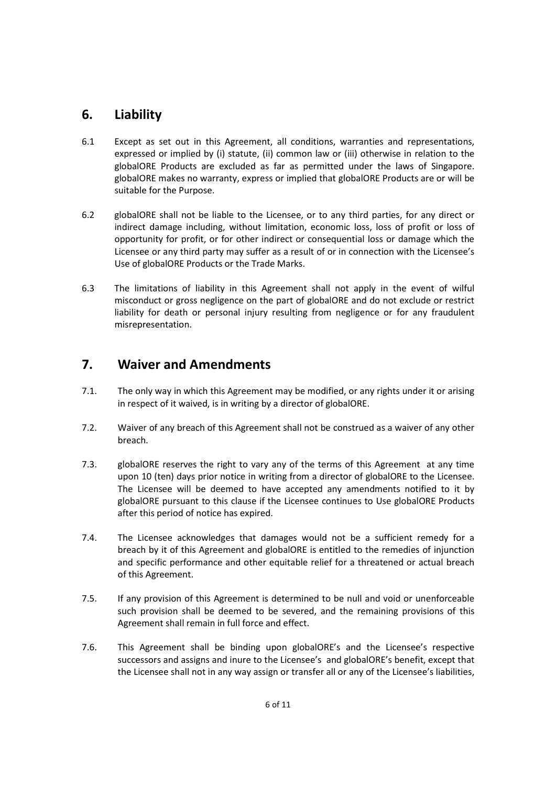# 6. Liability

- 6.1 Except as set out in this Agreement, all conditions, warranties and representations, expressed or implied by (i) statute, (ii) common law or (iii) otherwise in relation to the globalORE Products are excluded as far as permitted under the laws of Singapore. globalORE makes no warranty, express or implied that globalORE Products are or will be suitable for the Purpose.
- 6.2 globalORE shall not be liable to the Licensee, or to any third parties, for any direct or indirect damage including, without limitation, economic loss, loss of profit or loss of opportunity for profit, or for other indirect or consequential loss or damage which the Licensee or any third party may suffer as a result of or in connection with the Licensee's Use of globalORE Products or the Trade Marks.
- 6.3 The limitations of liability in this Agreement shall not apply in the event of wilful misconduct or gross negligence on the part of globalORE and do not exclude or restrict liability for death or personal injury resulting from negligence or for any fraudulent misrepresentation.

# 7. Waiver and Amendments

- 7.1. The only way in which this Agreement may be modified, or any rights under it or arising in respect of it waived, is in writing by a director of globalORE.
- 7.2. Waiver of any breach of this Agreement shall not be construed as a waiver of any other breach.
- 7.3. globalORE reserves the right to vary any of the terms of this Agreement at any time upon 10 (ten) days prior notice in writing from a director of globalORE to the Licensee. The Licensee will be deemed to have accepted any amendments notified to it by globalORE pursuant to this clause if the Licensee continues to Use globalORE Products after this period of notice has expired.
- 7.4. The Licensee acknowledges that damages would not be a sufficient remedy for a breach by it of this Agreement and globalORE is entitled to the remedies of injunction and specific performance and other equitable relief for a threatened or actual breach of this Agreement.
- 7.5. If any provision of this Agreement is determined to be null and void or unenforceable such provision shall be deemed to be severed, and the remaining provisions of this Agreement shall remain in full force and effect.
- 7.6. This Agreement shall be binding upon globalORE's and the Licensee's respective successors and assigns and inure to the Licensee's and globalORE's benefit, except that the Licensee shall not in any way assign or transfer all or any of the Licensee's liabilities,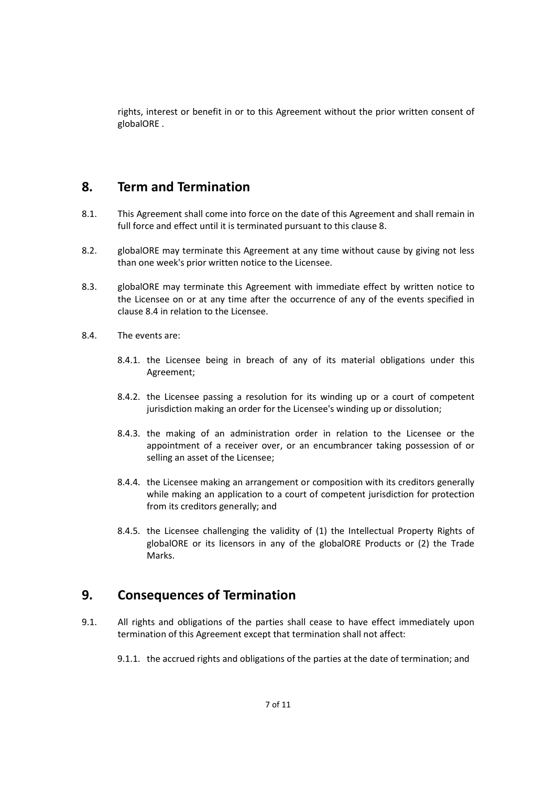rights, interest or benefit in or to this Agreement without the prior written consent of globalORE .

## 8. Term and Termination

- 8.1. This Agreement shall come into force on the date of this Agreement and shall remain in full force and effect until it is terminated pursuant to this clause 8.
- 8.2. globalORE may terminate this Agreement at any time without cause by giving not less than one week's prior written notice to the Licensee.
- 8.3. globalORE may terminate this Agreement with immediate effect by written notice to the Licensee on or at any time after the occurrence of any of the events specified in clause 8.4 in relation to the Licensee.
- 8.4. The events are:
	- 8.4.1. the Licensee being in breach of any of its material obligations under this Agreement;
	- 8.4.2. the Licensee passing a resolution for its winding up or a court of competent jurisdiction making an order for the Licensee's winding up or dissolution;
	- 8.4.3. the making of an administration order in relation to the Licensee or the appointment of a receiver over, or an encumbrancer taking possession of or selling an asset of the Licensee;
	- 8.4.4. the Licensee making an arrangement or composition with its creditors generally while making an application to a court of competent jurisdiction for protection from its creditors generally; and
	- 8.4.5. the Licensee challenging the validity of (1) the Intellectual Property Rights of globalORE or its licensors in any of the globalORE Products or (2) the Trade Marks.

#### 9. Consequences of Termination

- 9.1. All rights and obligations of the parties shall cease to have effect immediately upon termination of this Agreement except that termination shall not affect:
	- 9.1.1. the accrued rights and obligations of the parties at the date of termination; and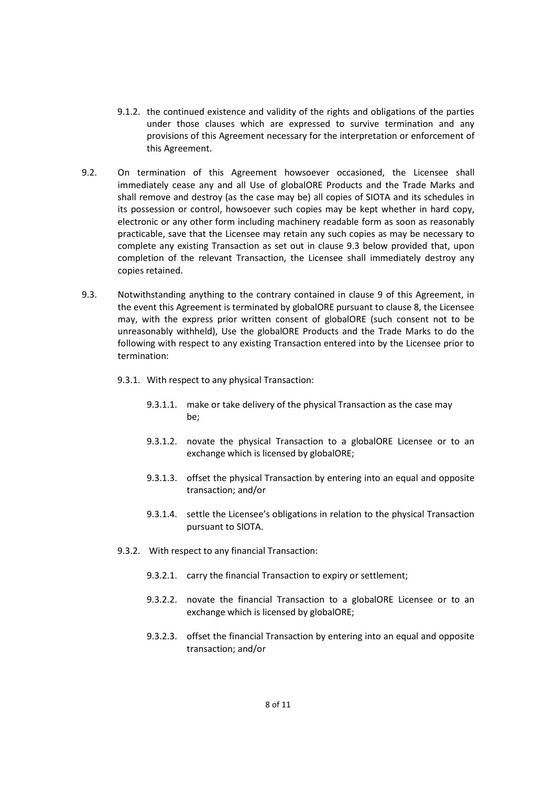- 9.1.2. the continued existence and validity of the rights and obligations of the parties under those clauses which are expressed to survive termination and any provisions of this Agreement necessary for the interpretation or enforcement of this Agreement.
- 9.2. On termination of this Agreement howsoever occasioned, the Licensee shall immediately cease any and all Use of globalORE Products and the Trade Marks and shall remove and destroy (as the case may be) all copies of SIOTA and its schedules in its possession or control, howsoever such copies may be kept whether in hard copy, electronic or any other form including machinery readable form as soon as reasonably practicable, save that the Licensee may retain any such copies as may be necessary to complete any existing Transaction as set out in clause 9.3 below provided that, upon completion of the relevant Transaction, the Licensee shall immediately destroy any copies retained.
- 9.3. Notwithstanding anything to the contrary contained in clause 9 of this Agreement, in the event this Agreement is terminated by globalORE pursuant to clause 8, the Licensee may, with the express prior written consent of globalORE (such consent not to be unreasonably withheld), Use the globalORE Products and the Trade Marks to do the following with respect to any existing Transaction entered into by the Licensee prior to termination:
	- 9.3.1. With respect to any physical Transaction:
		- 9.3.1.1. make or take delivery of the physical Transaction as the case may be;
		- 9.3.1.2. novate the physical Transaction to a globalORE Licensee or to an exchange which is licensed by globalORE;
		- 9.3.1.3. offset the physical Transaction by entering into an equal and opposite transaction; and/or
		- 9.3.1.4. settle the Licensee's obligations in relation to the physical Transaction pursuant to SIOTA.
	- 9.3.2. With respect to any financial Transaction:
		- 9.3.2.1. carry the financial Transaction to expiry or settlement;
		- 9.3.2.2. novate the financial Transaction to a globalORE Licensee or to an exchange which is licensed by globalORE;
		- 9.3.2.3. offset the financial Transaction by entering into an equal and opposite transaction; and/or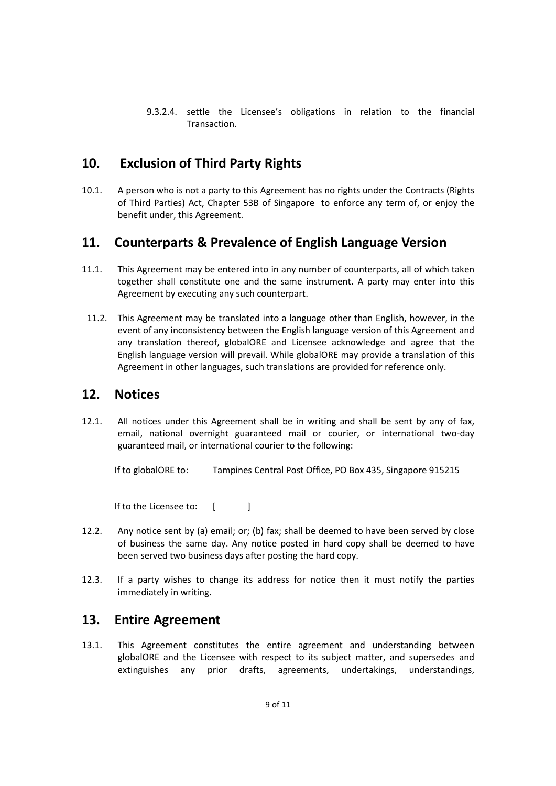9.3.2.4. settle the Licensee's obligations in relation to the financial Transaction.

# 10. Exclusion of Third Party Rights

10.1. A person who is not a party to this Agreement has no rights under the Contracts (Rights of Third Parties) Act, Chapter 53B of Singapore to enforce any term of, or enjoy the benefit under, this Agreement.

## 11. Counterparts & Prevalence of English Language Version

- 11.1. This Agreement may be entered into in any number of counterparts, all of which taken together shall constitute one and the same instrument. A party may enter into this Agreement by executing any such counterpart.
- 11.2. This Agreement may be translated into a language other than English, however, in the event of any inconsistency between the English language version of this Agreement and any translation thereof, globalORE and Licensee acknowledge and agree that the English language version will prevail. While globalORE may provide a translation of this Agreement in other languages, such translations are provided for reference only.

#### 12. Notices

12.1. All notices under this Agreement shall be in writing and shall be sent by any of fax, email, national overnight guaranteed mail or courier, or international two-day guaranteed mail, or international courier to the following:

If to globalORE to: Tampines Central Post Office, PO Box 435, Singapore 915215

If to the Licensee to: [

- 12.2. Any notice sent by (a) email; or; (b) fax; shall be deemed to have been served by close of business the same day. Any notice posted in hard copy shall be deemed to have been served two business days after posting the hard copy.
- 12.3. If a party wishes to change its address for notice then it must notify the parties immediately in writing.

## 13. Entire Agreement

13.1. This Agreement constitutes the entire agreement and understanding between globalORE and the Licensee with respect to its subject matter, and supersedes and extinguishes any prior drafts, agreements, undertakings, understandings,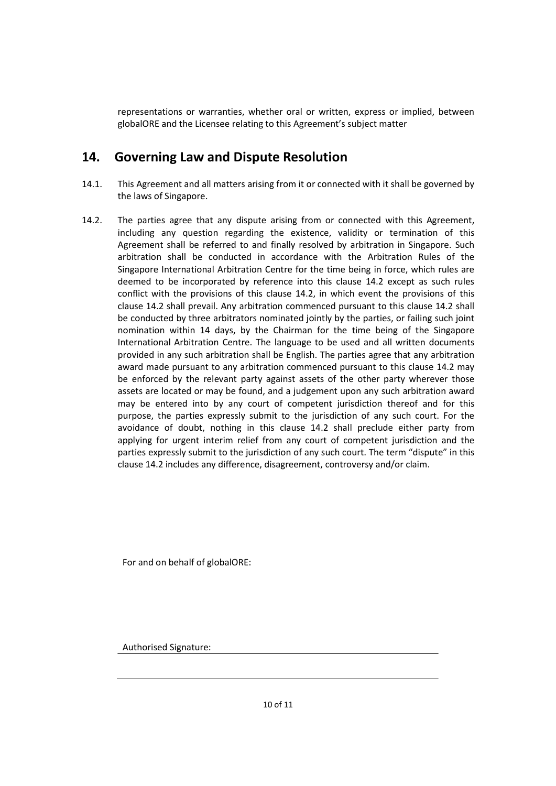representations or warranties, whether oral or written, express or implied, between globalORE and the Licensee relating to this Agreement's subject matter

# 14. Governing Law and Dispute Resolution

- 14.1. This Agreement and all matters arising from it or connected with it shall be governed by the laws of Singapore.
- 14.2. The parties agree that any dispute arising from or connected with this Agreement, including any question regarding the existence, validity or termination of this Agreement shall be referred to and finally resolved by arbitration in Singapore. Such arbitration shall be conducted in accordance with the Arbitration Rules of the Singapore International Arbitration Centre for the time being in force, which rules are deemed to be incorporated by reference into this clause 14.2 except as such rules conflict with the provisions of this clause 14.2, in which event the provisions of this clause 14.2 shall prevail. Any arbitration commenced pursuant to this clause 14.2 shall be conducted by three arbitrators nominated jointly by the parties, or failing such joint nomination within 14 days, by the Chairman for the time being of the Singapore International Arbitration Centre. The language to be used and all written documents provided in any such arbitration shall be English. The parties agree that any arbitration award made pursuant to any arbitration commenced pursuant to this clause 14.2 may be enforced by the relevant party against assets of the other party wherever those assets are located or may be found, and a judgement upon any such arbitration award may be entered into by any court of competent jurisdiction thereof and for this purpose, the parties expressly submit to the jurisdiction of any such court. For the avoidance of doubt, nothing in this clause 14.2 shall preclude either party from applying for urgent interim relief from any court of competent jurisdiction and the parties expressly submit to the jurisdiction of any such court. The term "dispute" in this clause 14.2 includes any difference, disagreement, controversy and/or claim.

For and on behalf of globalORE:

Authorised Signature: